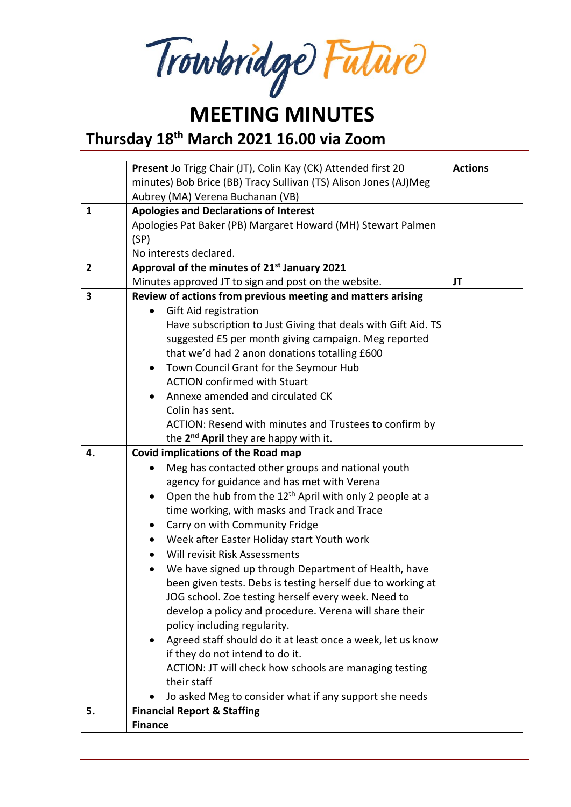Trowbridge Future

#### **MEETING MINUTES**

**Thursday 18th March 2021 16.00 via Zoom**

|                | Present Jo Trigg Chair (JT), Colin Kay (CK) Attended first 20        | <b>Actions</b> |
|----------------|----------------------------------------------------------------------|----------------|
|                | minutes) Bob Brice (BB) Tracy Sullivan (TS) Alison Jones (AJ)Meg     |                |
|                | Aubrey (MA) Verena Buchanan (VB)                                     |                |
| $\mathbf{1}$   | <b>Apologies and Declarations of Interest</b>                        |                |
|                | Apologies Pat Baker (PB) Margaret Howard (MH) Stewart Palmen         |                |
|                | (SP)                                                                 |                |
|                | No interests declared.                                               |                |
| $\overline{2}$ | Approval of the minutes of 21st January 2021                         |                |
|                | Minutes approved JT to sign and post on the website.                 | JT             |
| 3              | Review of actions from previous meeting and matters arising          |                |
|                | Gift Aid registration                                                |                |
|                | Have subscription to Just Giving that deals with Gift Aid. TS        |                |
|                | suggested £5 per month giving campaign. Meg reported                 |                |
|                | that we'd had 2 anon donations totalling £600                        |                |
|                | Town Council Grant for the Seymour Hub                               |                |
|                | <b>ACTION confirmed with Stuart</b>                                  |                |
|                | Annexe amended and circulated CK                                     |                |
|                | Colin has sent.                                                      |                |
|                | ACTION: Resend with minutes and Trustees to confirm by               |                |
|                | the 2 <sup>nd</sup> April they are happy with it.                    |                |
| 4.             | <b>Covid implications of the Road map</b>                            |                |
|                | Meg has contacted other groups and national youth<br>$\bullet$       |                |
|                | agency for guidance and has met with Verena                          |                |
|                | Open the hub from the 12 <sup>th</sup> April with only 2 people at a |                |
|                | time working, with masks and Track and Trace                         |                |
|                | Carry on with Community Fridge<br>$\bullet$                          |                |
|                | Week after Easter Holiday start Youth work                           |                |
|                | Will revisit Risk Assessments                                        |                |
|                | We have signed up through Department of Health, have                 |                |
|                | been given tests. Debs is testing herself due to working at          |                |
|                | JOG school. Zoe testing herself every week. Need to                  |                |
|                | develop a policy and procedure. Verena will share their              |                |
|                | policy including regularity.                                         |                |
|                | Agreed staff should do it at least once a week, let us know          |                |
|                | if they do not intend to do it.                                      |                |
|                | ACTION: JT will check how schools are managing testing               |                |
|                | their staff                                                          |                |
|                | Jo asked Meg to consider what if any support she needs               |                |
| 5.             | <b>Financial Report &amp; Staffing</b>                               |                |
|                | <b>Finance</b>                                                       |                |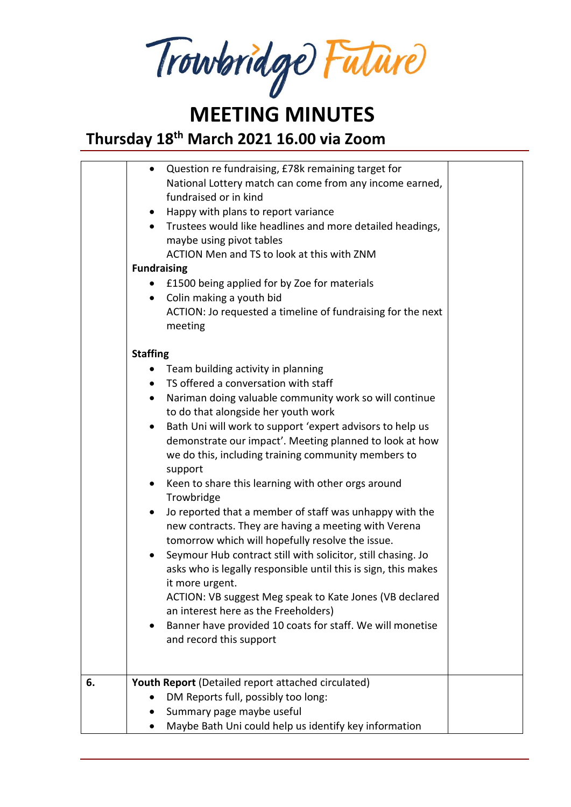**MEETING MINUTES**

# **Thursday 18th March 2021 16.00 via Zoom**

|    | Question re fundraising, £78k remaining target for<br>$\bullet$<br>National Lottery match can come from any income earned,<br>fundraised or in kind<br>Happy with plans to report variance<br>$\bullet$<br>Trustees would like headlines and more detailed headings,<br>$\bullet$<br>maybe using pivot tables<br>ACTION Men and TS to look at this with ZNM<br><b>Fundraising</b><br>£1500 being applied for by Zoe for materials<br>Colin making a youth bid<br>$\bullet$<br>ACTION: Jo requested a timeline of fundraising for the next<br>meeting |  |
|----|------------------------------------------------------------------------------------------------------------------------------------------------------------------------------------------------------------------------------------------------------------------------------------------------------------------------------------------------------------------------------------------------------------------------------------------------------------------------------------------------------------------------------------------------------|--|
|    | <b>Staffing</b>                                                                                                                                                                                                                                                                                                                                                                                                                                                                                                                                      |  |
|    | Team building activity in planning                                                                                                                                                                                                                                                                                                                                                                                                                                                                                                                   |  |
|    | TS offered a conversation with staff<br>$\bullet$                                                                                                                                                                                                                                                                                                                                                                                                                                                                                                    |  |
|    | Nariman doing valuable community work so will continue<br>$\bullet$                                                                                                                                                                                                                                                                                                                                                                                                                                                                                  |  |
|    | to do that alongside her youth work                                                                                                                                                                                                                                                                                                                                                                                                                                                                                                                  |  |
|    | Bath Uni will work to support 'expert advisors to help us<br>$\bullet$<br>demonstrate our impact'. Meeting planned to look at how<br>we do this, including training community members to<br>support                                                                                                                                                                                                                                                                                                                                                  |  |
|    | Keen to share this learning with other orgs around<br>$\bullet$<br>Trowbridge                                                                                                                                                                                                                                                                                                                                                                                                                                                                        |  |
|    | Jo reported that a member of staff was unhappy with the<br>$\bullet$<br>new contracts. They are having a meeting with Verena<br>tomorrow which will hopefully resolve the issue.                                                                                                                                                                                                                                                                                                                                                                     |  |
|    | Seymour Hub contract still with solicitor, still chasing. Jo<br>$\bullet$<br>asks who is legally responsible until this is sign, this makes<br>it more urgent.<br>ACTION: VB suggest Meg speak to Kate Jones (VB declared                                                                                                                                                                                                                                                                                                                            |  |
|    | an interest here as the Freeholders)                                                                                                                                                                                                                                                                                                                                                                                                                                                                                                                 |  |
|    | Banner have provided 10 coats for staff. We will monetise<br>and record this support                                                                                                                                                                                                                                                                                                                                                                                                                                                                 |  |
| 6. | Youth Report (Detailed report attached circulated)                                                                                                                                                                                                                                                                                                                                                                                                                                                                                                   |  |
|    | DM Reports full, possibly too long:                                                                                                                                                                                                                                                                                                                                                                                                                                                                                                                  |  |
|    | Summary page maybe useful                                                                                                                                                                                                                                                                                                                                                                                                                                                                                                                            |  |
|    | Maybe Bath Uni could help us identify key information                                                                                                                                                                                                                                                                                                                                                                                                                                                                                                |  |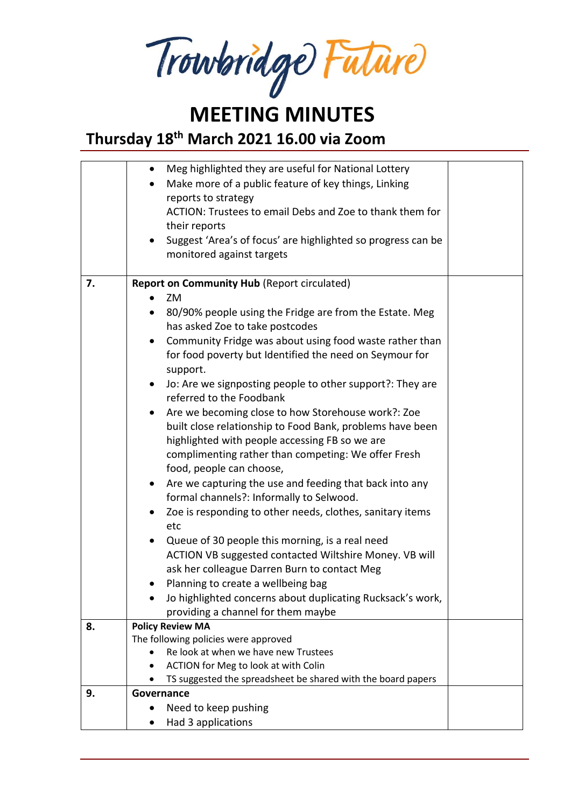Trowbridge Future

### **MEETING MINUTES**

**Thursday 18th March 2021 16.00 via Zoom**

|    | Meg highlighted they are useful for National Lottery<br>$\bullet$         |  |
|----|---------------------------------------------------------------------------|--|
|    | Make more of a public feature of key things, Linking                      |  |
|    | reports to strategy                                                       |  |
|    | ACTION: Trustees to email Debs and Zoe to thank them for                  |  |
|    | their reports                                                             |  |
|    | Suggest 'Area's of focus' are highlighted so progress can be<br>$\bullet$ |  |
|    | monitored against targets                                                 |  |
|    |                                                                           |  |
| 7. | <b>Report on Community Hub (Report circulated)</b>                        |  |
|    | ZM<br>$\bullet$                                                           |  |
|    | 80/90% people using the Fridge are from the Estate. Meg<br>$\bullet$      |  |
|    | has asked Zoe to take postcodes                                           |  |
|    | Community Fridge was about using food waste rather than<br>$\bullet$      |  |
|    | for food poverty but Identified the need on Seymour for                   |  |
|    | support.                                                                  |  |
|    | Jo: Are we signposting people to other support?: They are<br>$\bullet$    |  |
|    | referred to the Foodbank                                                  |  |
|    | Are we becoming close to how Storehouse work?: Zoe<br>$\bullet$           |  |
|    | built close relationship to Food Bank, problems have been                 |  |
|    | highlighted with people accessing FB so we are                            |  |
|    | complimenting rather than competing: We offer Fresh                       |  |
|    | food, people can choose,                                                  |  |
|    | Are we capturing the use and feeding that back into any<br>$\bullet$      |  |
|    | formal channels?: Informally to Selwood.                                  |  |
|    | Zoe is responding to other needs, clothes, sanitary items<br>$\bullet$    |  |
|    | etc                                                                       |  |
|    | Queue of 30 people this morning, is a real need<br>$\bullet$              |  |
|    | ACTION VB suggested contacted Wiltshire Money. VB will                    |  |
|    | ask her colleague Darren Burn to contact Meg                              |  |
|    | Planning to create a wellbeing bag<br>$\bullet$                           |  |
|    | Jo highlighted concerns about duplicating Rucksack's work,                |  |
|    | providing a channel for them maybe                                        |  |
| 8. | <b>Policy Review MA</b>                                                   |  |
|    | The following policies were approved                                      |  |
|    | Re look at when we have new Trustees                                      |  |
|    | ACTION for Meg to look at with Colin<br>٠                                 |  |
|    | TS suggested the spreadsheet be shared with the board papers              |  |
| 9. | Governance                                                                |  |
|    | Need to keep pushing                                                      |  |
|    | Had 3 applications                                                        |  |